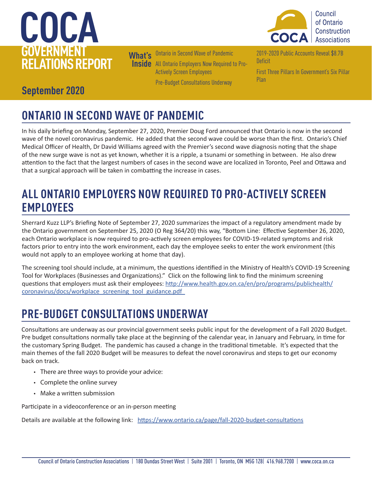## **COCA GOVERNMENT RELATIONS REPORT**



**What's Inside** All Ontario Employers Now Required to Pro-Ontario in Second Wave of Pandemic Actively Screen Employees Pre-Budget Consultations Underway

2019-2020 Public Accounts Reveal \$8.7B **Deficit** 

First Three Pillars In Government's Six Pillar Plan

### **September 2020**

## **ONTARIO IN SECOND WAVE OF PANDEMIC**

In his daily briefing on Monday, September 27, 2020, Premier Doug Ford announced that Ontario is now in the second wave of the novel coronavirus pandemic. He added that the second wave could be worse than the first. Ontario's Chief Medical Officer of Health, Dr David Williams agreed with the Premier's second wave diagnosis noting that the shape of the new surge wave is not as yet known, whether it is a ripple, a tsunami or something in between. He also drew attention to the fact that the largest numbers of cases in the second wave are localized in Toronto, Peel and Ottawa and that a surgical approach will be taken in combatting the increase in cases.

### **ALL ONTARIO EMPLOYERS NOW REQUIRED TO PRO-ACTIVELY SCREEN EMPLOYEES**

Sherrard Kuzz LLP's Briefing Note of September 27, 2020 summarizes the impact of a regulatory amendment made by the Ontario government on September 25, 2020 (O Reg 364/20) this way, "Bottom Line:  Effective September 26, 2020, each Ontario workplace is now required to pro-actively screen employees for COVID-19-related symptoms and risk factors prior to entry into the work environment, each day the employee seeks to enter the work environment (this would not apply to an employee working at home that day). 

The screening tool should include, at a minimum, the questions identified in the Ministry of Health's COVID-19 Screening Tool for Workplaces (Businesses and Organizations)." Click on the following link to find the minimum screening questions that employers must ask their employees: http://www.health.gov.on.ca/en/pro/programs/publichealth/ coronavirus/docs/workplace\_screening\_tool\_guidance.pdf

### **PRE-BUDGET CONSULTATIONS UNDERWAY**

Consultations are underway as our provincial government seeks public input for the development of a Fall 2020 Budget. Pre budget consultations normally take place at the beginning of the calendar year, in January and February, in time for the customary Spring Budget. The pandemic has caused a change in the traditional timetable. It's expected that the main themes of the fall 2020 Budget will be measures to defeat the novel coronavirus and steps to get our economy back on track.

- There are three ways to provide your advice:
- Complete the online survey
- Make a written submission

Participate in a videoconference or an in-person meeting

Details are available at the following link: https://www.ontario.ca/page/fall-2020-budget-consultations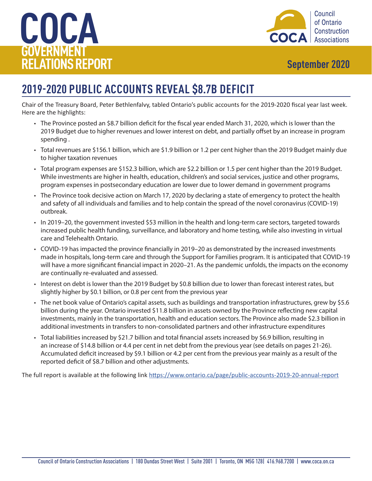## **COCA GOVERNMENT RELATIONS REPORT September 2020**



### **2019-2020 PUBLIC ACCOUNTS REVEAL \$8.7B DEFICIT**

Chair of the Treasury Board, Peter Bethlenfalvy, tabled Ontario's public accounts for the 2019-2020 fiscal year last week. Here are the highlights:

- The Province posted an \$8.7 billion deficit for the fiscal year ended March 31, 2020, which is lower than the 2019 Budget due to higher revenues and lower interest on debt, and partially offset by an increase in program spending .
- Total revenues are \$156.1 billion, which are \$1.9 billion or 1.2 per cent higher than the 2019 Budget mainly due to higher taxation revenues
- Total program expenses are \$152.3 billion, which are \$2.2 billion or 1.5 per cent higher than the 2019 Budget. While investments are higher in health, education, children's and social services, justice and other programs, program expenses in postsecondary education are lower due to lower demand in government programs
- The Province took decisive action on March 17, 2020 by declaring a state of emergency to protect the health and safety of all individuals and families and to help contain the spread of the novel coronavirus (COVID-19) outbreak.
- In 2019–20, the government invested \$53 million in the health and long-term care sectors, targeted towards increased public health funding, surveillance, and laboratory and home testing, while also investing in virtual care and Telehealth Ontario.
- COVID-19 has impacted the province financially in 2019–20 as demonstrated by the increased investments made in hospitals, long-term care and through the Support for Families program. It is anticipated that COVID-19 will have a more significant financial impact in 2020–21. As the pandemic unfolds, the impacts on the economy are continually re-evaluated and assessed.
- Interest on debt is lower than the 2019 Budget by \$0.8 billion due to lower than forecast interest rates, but slightly higher by \$0.1 billion, or 0.8 per cent from the previous year
- The net book value of Ontario's capital assets, such as buildings and transportation infrastructures, grew by \$5.6 billion during the year. Ontario invested \$11.8 billion in assets owned by the Province reflecting new capital investments, mainly in the transportation, health and education sectors. The Province also made \$2.3 billion in additional investments in transfers to non-consolidated partners and other infrastructure expenditures
- Total liabilities increased by \$21.7 billion and total financial assets increased by \$6.9 billion, resulting in an increase of \$14.8 billion or 4.4 per cent in net debt from the previous year (see details on pages 21-26). Accumulated deficit increased by \$9.1 billion or 4.2 per cent from the previous year mainly as a result of the reported deficit of \$8.7 billion and other adjustments.

The full report is available at the following link https://www.ontario.ca/page/public-accounts-2019-20-annual-report